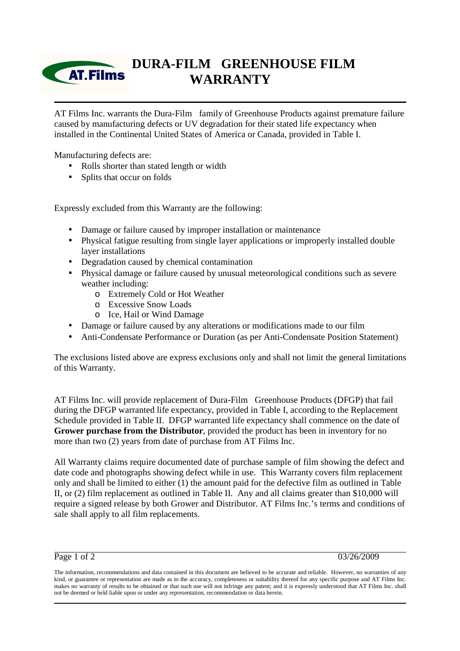## **DURA-FILM GREENHOUSE FILM AT.Films WARRANTY**

AT Films Inc. warrants the Dura-Film<sup>®</sup> family of Greenhouse Products against premature failure caused by manufacturing defects or UV degradation for their stated life expectancy when installed in the Continental United States of America or Canada, provided in Table I.

Manufacturing defects are:

- Rolls shorter than stated length or width
- Splits that occur on folds

Expressly excluded from this Warranty are the following:

- Damage or failure caused by improper installation or maintenance
- Physical fatigue resulting from single layer applications or improperly installed double layer installations
- Degradation caused by chemical contamination
- Physical damage or failure caused by unusual meteorological conditions such as severe weather including:
	- o Extremely Cold or Hot Weather
	- o Excessive Snow Loads
	- o Ice, Hail or Wind Damage
- Damage or failure caused by any alterations or modifications made to our film
- Anti-Condensate Performance or Duration (as per Anti-Condensate Position Statement)

The exclusions listed above are express exclusions only and shall not limit the general limitations of this Warranty.

AT Films Inc. will provide replacement of Dura-Film® Greenhouse Products (DFGP) that fail during the DFGP warranted life expectancy, provided in Table I, according to the Replacement Schedule provided in Table II. DFGP warranted life expectancy shall commence on the date of **Grower purchase from the Distributor**, provided the product has been in inventory for no more than two (2) years from date of purchase from AT Films Inc.

All Warranty claims require documented date of purchase sample of film showing the defect and date code and photographs showing defect while in use. This Warranty covers film replacement only and shall be limited to either (1) the amount paid for the defective film as outlined in Table II, or (2) film replacement as outlined in Table II. Any and all claims greater than \$10,000 will require a signed release by both Grower and Distributor. AT Films Inc.'s terms and conditions of sale shall apply to all film replacements.

Page 1 of 2 03/26/2009

The information, recommendations and data contained in this document are believed to be accurate and reliable. However, no warranties of any kind, or guarantee or representation are made as to the accuracy, completeness or suitability thereof for any specific purpose and AT Films Inc. makes no warranty of results to be obtained or that such use will not infringe any patent; and it is expressly understood that AT Films Inc. shall not be deemed or held liable upon or under any representation, recommendation or data herein.